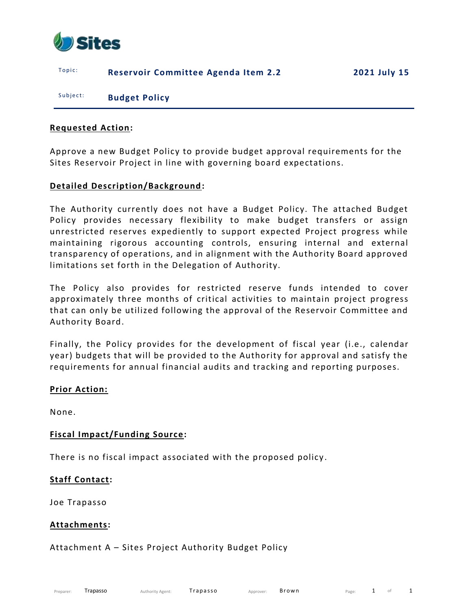

Topic: **Reservoir Committee Agenda Item 2.2 2021 July 15** 

Subject: **Budget Policy** 

#### **Requested Action:**

Approve a new Budget Policy to provide budget approval requirements for the Sites Reservoir Project in line with governing board expectations.

## **Detailed Description/Background:**

The Authority currently does not have a Budget Policy. The attached Budget Policy provides necessary flexibility to make budget transfers or assign unrestricted reserves expediently to support expected Project progress while maintaining rigorous accounting controls, ensuring internal and external transparency of operations, and in alignment with the Authority Board approved limitations set forth in the Delegation of Authority.

The Policy also provides for restricted reserve funds intended to cover approximately three months of critical activities to maintain project progress that can only be utilized following the approval of the Reservoir Committee and Authority Board.

Finally, the Policy provides for the development of fiscal year (i.e., calendar year) budgets that will be provided to the Authority for approval and satisfy the requirements for annual financial audits and tracking and reporting purposes.

#### **Prior Action:**

None.

## **Fiscal Impact/Funding Source:**

There is no fiscal impact associated with the proposed policy .

## **Staff Contact:**

Joe Trapasso

#### **Attachments:**

## Attachment A – Sites Project Authority Budget Policy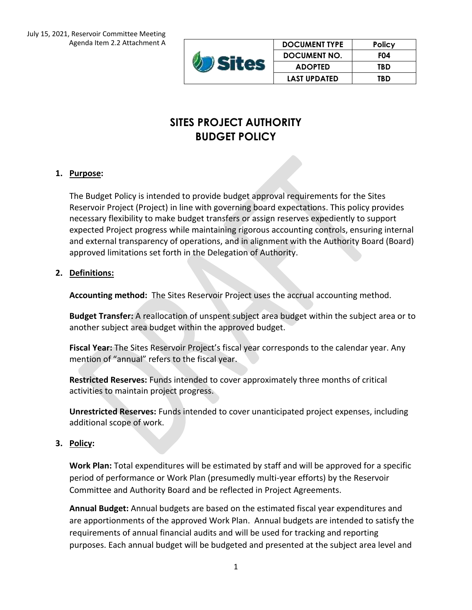|  | <b>DOCUMENT TYPE</b> | <b>Policy</b> |
|--|----------------------|---------------|
|  | <b>DOCUMENT NO.</b>  | FO4           |
|  | <b>ADOPTED</b>       | TBD           |
|  | <b>LAST UPDATED</b>  | TBD           |

# **SITES PROJECT AUTHORITY BUDGET POLICY**

## **1. Purpose:**

The Budget Policy is intended to provide budget approval requirements for the Sites Reservoir Project (Project) in line with governing board expectations. This policy provides necessary flexibility to make budget transfers or assign reserves expediently to support expected Project progress while maintaining rigorous accounting controls, ensuring internal and external transparency of operations, and in alignment with the Authority Board (Board) approved limitations set forth in the Delegation of Authority.

## **2. Definitions:**

**Accounting method:** The Sites Reservoir Project uses the accrual accounting method.

**Budget Transfer:** A reallocation of unspent subject area budget within the subject area or to another subject area budget within the approved budget.

**Fiscal Year:** The Sites Reservoir Project's fiscal year corresponds to the calendar year. Any mention of "annual" refers to the fiscal year.

**Restricted Reserves:** Funds intended to cover approximately three months of critical activities to maintain project progress.

**Unrestricted Reserves:** Funds intended to cover unanticipated project expenses, including additional scope of work.

## **3. Policy:**

**Work Plan:** Total expenditures will be estimated by staff and will be approved for a specific period of performance or Work Plan (presumedly multi-year efforts) by the Reservoir Committee and Authority Board and be reflected in Project Agreements.

**Annual Budget:** Annual budgets are based on the estimated fiscal year expenditures and are apportionments of the approved Work Plan. Annual budgets are intended to satisfy the requirements of annual financial audits and will be used for tracking and reporting purposes. Each annual budget will be budgeted and presented at the subject area level and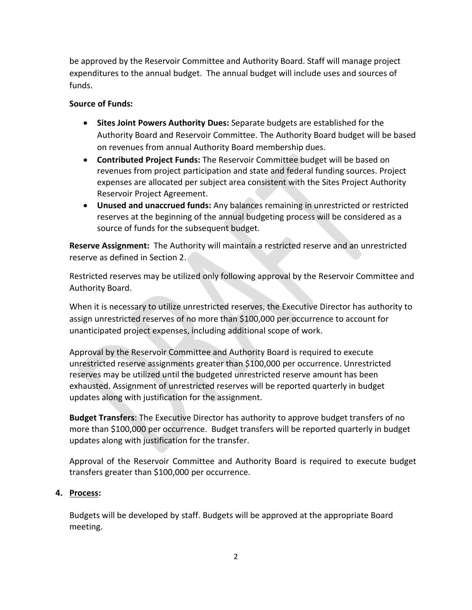be approved by the Reservoir Committee and Authority Board. Staff will manage project expenditures to the annual budget. The annual budget will include uses and sources of funds.

## **Source of Funds:**

- **Sites Joint Powers Authority Dues:** Separate budgets are established for the Authority Board and Reservoir Committee. The Authority Board budget will be based on revenues from annual Authority Board membership dues.
- **Contributed Project Funds:** The Reservoir Committee budget will be based on revenues from project participation and state and federal funding sources. Project expenses are allocated per subject area consistent with the Sites Project Authority Reservoir Project Agreement.
- **Unused and unaccrued funds:** Any balances remaining in unrestricted or restricted reserves at the beginning of the annual budgeting process will be considered as a source of funds for the subsequent budget.

**Reserve Assignment:** The Authority will maintain a restricted reserve and an unrestricted reserve as defined in Section 2.

Restricted reserves may be utilized only following approval by the Reservoir Committee and Authority Board.

When it is necessary to utilize unrestricted reserves, the Executive Director has authority to assign unrestricted reserves of no more than \$100,000 per occurrence to account for unanticipated project expenses, including additional scope of work.

Approval by the Reservoir Committee and Authority Board is required to execute unrestricted reserve assignments greater than \$100,000 per occurrence. Unrestricted reserves may be utilized until the budgeted unrestricted reserve amount has been exhausted. Assignment of unrestricted reserves will be reported quarterly in budget updates along with justification for the assignment.

**Budget Transfers**: The Executive Director has authority to approve budget transfers of no more than \$100,000 per occurrence. Budget transfers will be reported quarterly in budget updates along with justification for the transfer.

Approval of the Reservoir Committee and Authority Board is required to execute budget transfers greater than \$100,000 per occurrence.

## **4. Process:**

Budgets will be developed by staff. Budgets will be approved at the appropriate Board meeting.